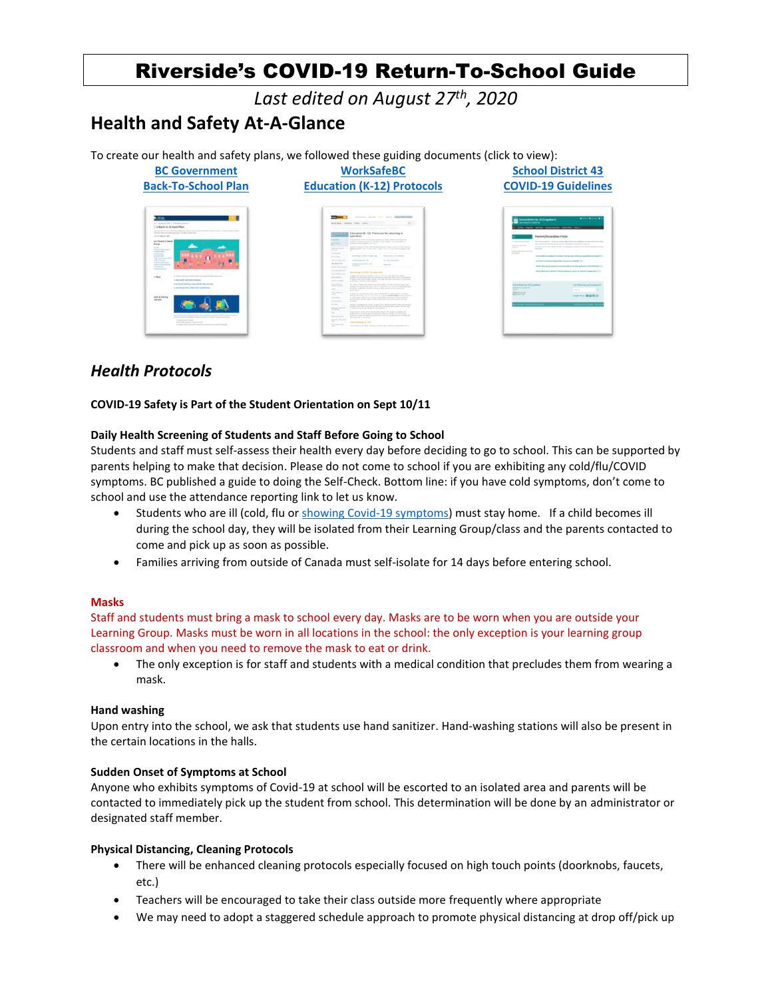# Riverside's COVID-19 Return-To-School Guide

*Last edited on August 27th, 2020*

# **Health and Safety At-A-Glance**

To create our health and safety plans, we followed these guiding documents (click to view):



# *Health Protocols*

# **COVID-19 Safety is Part of the Student Orientation on Sept 10/11**

# **Daily Health Screening of Students and Staff Before Going to School**

Students and staff must self-assess their health every day before deciding to go to school. This can be supported by parents helping to make that decision. Please do not come to school if you are exhibiting any cold/flu/COVID symptoms. BC published a guide to doing the Self-Check. Bottom line: if you have cold symptoms, don't come to school and use the attendance reporting link to let us know.

- Students who are ill (cold, flu o[r showing Covid-19 symptoms\)](http://www.bccdc.ca/health-info/diseases-conditions/covid-19/about-covid-19/symptoms) must stay home. If a child becomes ill during the school day, they will be isolated from their Learning Group/class and the parents contacted to come and pick up as soon as possible.
- Families arriving from outside of Canada must self-isolate for 14 days before entering school.

# **Masks**

Staff and students must bring a mask to school every day. Masks are to be worn when you are outside your Learning Group. Masks must be worn in all locations in the school: the only exception is your learning group classroom and when you need to remove the mask to eat or drink.

The only exception is for staff and students with a medical condition that precludes them from wearing a mask.

# **Hand washing**

Upon entry into the school, we ask that students use hand sanitizer. Hand-washing stations will also be present in the certain locations in the halls.

# **Sudden Onset of Symptoms at School**

Anyone who exhibits symptoms of Covid-19 at school will be escorted to an isolated area and parents will be contacted to immediately pick up the student from school. This determination will be done by an administrator or designated staff member.

# **Physical Distancing, Cleaning Protocols**

- There will be enhanced cleaning protocols especially focused on high touch points (doorknobs, faucets, etc.)
- Teachers will be encouraged to take their class outside more frequently where appropriate
- We may need to adopt a staggered schedule approach to promote physical distancing at drop off/pick up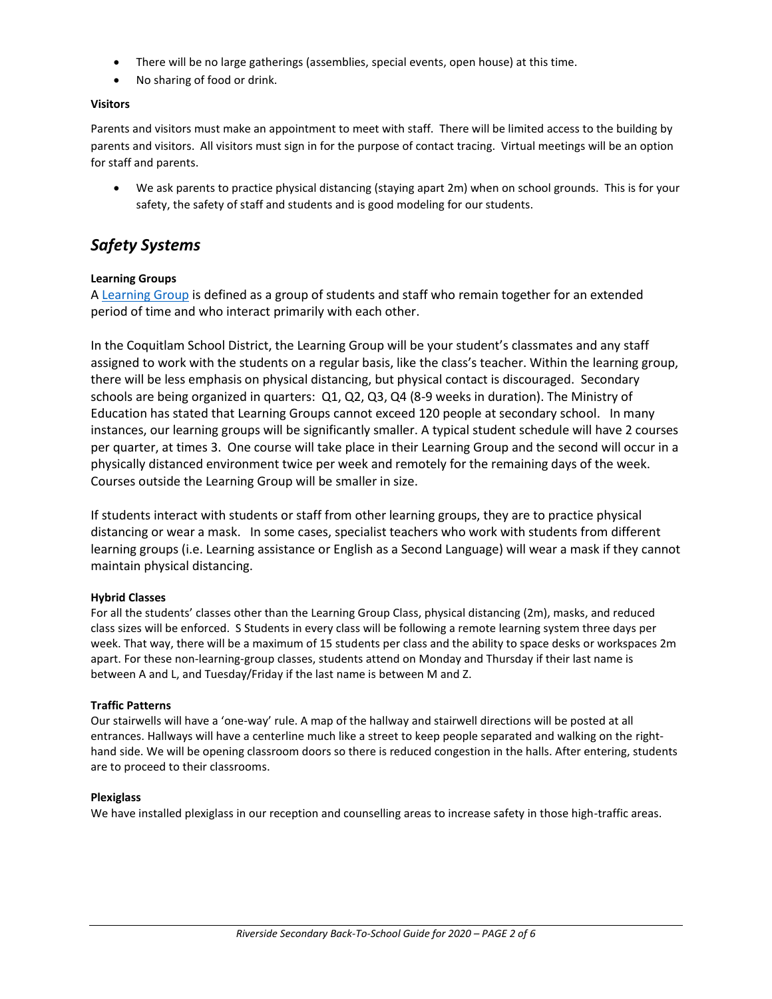- There will be no large gatherings (assemblies, special events, open house) at this time.
- No sharing of food or drink.

# **Visitors**

Parents and visitors must make an appointment to meet with staff. There will be limited access to the building by parents and visitors. All visitors must sign in for the purpose of contact tracing. Virtual meetings will be an option for staff and parents.

• We ask parents to practice physical distancing (staying apart 2m) when on school grounds. This is for your safety, the safety of staff and students and is good modeling for our students.

# *Safety Systems*

# **Learning Groups**

A [Learning Group](https://www2.gov.bc.ca/gov/content/education-training/k-12/covid-19-return-to-school#learning-group) is defined as a group of students and staff who remain together for an extended period of time and who interact primarily with each other.

In the Coquitlam School District, the Learning Group will be your student's classmates and any staff assigned to work with the students on a regular basis, like the class's teacher. Within the learning group, there will be less emphasis on physical distancing, but physical contact is discouraged. Secondary schools are being organized in quarters: Q1, Q2, Q3, Q4 (8-9 weeks in duration). The Ministry of Education has stated that Learning Groups cannot exceed 120 people at secondary school. In many instances, our learning groups will be significantly smaller. A typical student schedule will have 2 courses per quarter, at times 3. One course will take place in their Learning Group and the second will occur in a physically distanced environment twice per week and remotely for the remaining days of the week. Courses outside the Learning Group will be smaller in size.

If students interact with students or staff from other learning groups, they are to practice physical distancing or wear a mask. In some cases, specialist teachers who work with students from different learning groups (i.e. Learning assistance or English as a Second Language) will wear a mask if they cannot maintain physical distancing.

# **Hybrid Classes**

For all the students' classes other than the Learning Group Class, physical distancing (2m), masks, and reduced class sizes will be enforced. S Students in every class will be following a remote learning system three days per week. That way, there will be a maximum of 15 students per class and the ability to space desks or workspaces 2m apart. For these non-learning-group classes, students attend on Monday and Thursday if their last name is between A and L, and Tuesday/Friday if the last name is between M and Z.

# **Traffic Patterns**

Our stairwells will have a 'one-way' rule. A map of the hallway and stairwell directions will be posted at all entrances. Hallways will have a centerline much like a street to keep people separated and walking on the righthand side. We will be opening classroom doors so there is reduced congestion in the halls. After entering, students are to proceed to their classrooms.

# **Plexiglass**

We have installed plexiglass in our reception and counselling areas to increase safety in those high-traffic areas.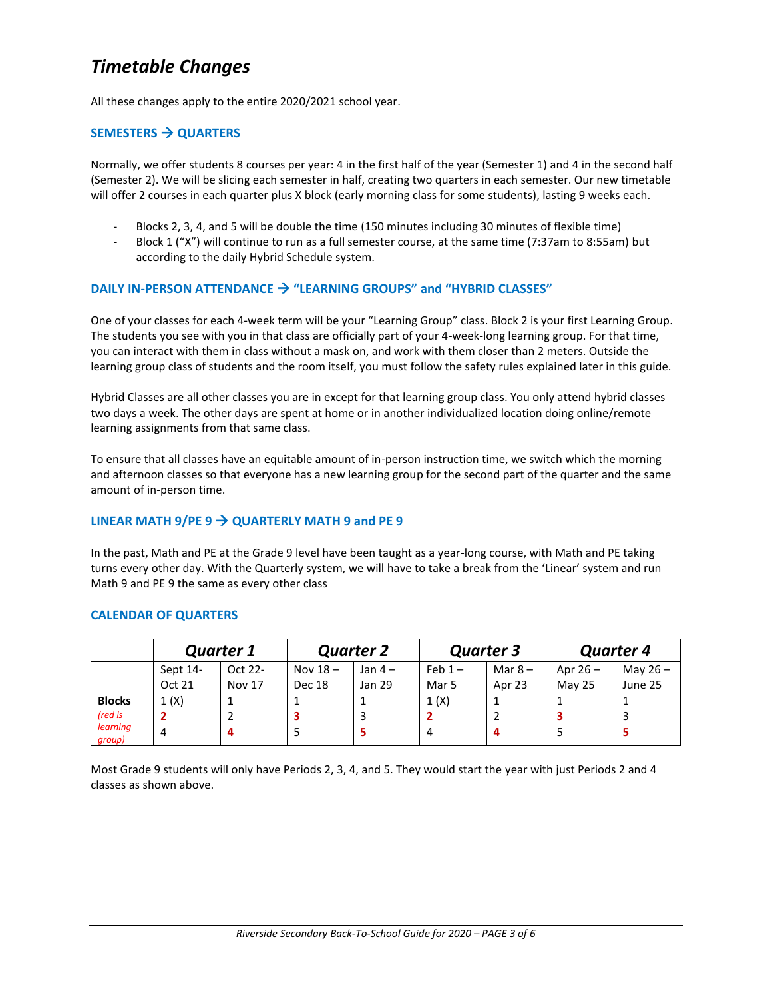# *Timetable Changes*

All these changes apply to the entire 2020/2021 school year.

# **SEMESTERS** → **QUARTERS**

Normally, we offer students 8 courses per year: 4 in the first half of the year (Semester 1) and 4 in the second half (Semester 2). We will be slicing each semester in half, creating two quarters in each semester. Our new timetable will offer 2 courses in each quarter plus X block (early morning class for some students), lasting 9 weeks each.

- Blocks 2, 3, 4, and 5 will be double the time (150 minutes including 30 minutes of flexible time)
- Block 1 ("X") will continue to run as a full semester course, at the same time (7:37am to 8:55am) but according to the daily Hybrid Schedule system.

# **DAILY IN-PERSON ATTENDANCE** → **"LEARNING GROUPS" and "HYBRID CLASSES"**

One of your classes for each 4-week term will be your "Learning Group" class. Block 2 is your first Learning Group. The students you see with you in that class are officially part of your 4-week-long learning group. For that time, you can interact with them in class without a mask on, and work with them closer than 2 meters. Outside the learning group class of students and the room itself, you must follow the safety rules explained later in this guide.

Hybrid Classes are all other classes you are in except for that learning group class. You only attend hybrid classes two days a week. The other days are spent at home or in another individualized location doing online/remote learning assignments from that same class.

To ensure that all classes have an equitable amount of in-person instruction time, we switch which the morning and afternoon classes so that everyone has a new learning group for the second part of the quarter and the same amount of in-person time.

# LINEAR MATH  $9$ /PE  $9 \rightarrow$  QUARTERLY MATH  $9$  and PE  $9$

In the past, Math and PE at the Grade 9 level have been taught as a year-long course, with Math and PE taking turns every other day. With the Quarterly system, we will have to take a break from the 'Linear' system and run Math 9 and PE 9 the same as every other class

# **CALENDAR OF QUARTERS**

|                    | <b>Quarter 1</b> |               | <b>Quarter 2</b> |          | <b>Quarter 3</b> |          | <b>Quarter 4</b> |            |
|--------------------|------------------|---------------|------------------|----------|------------------|----------|------------------|------------|
|                    | Sept 14-         | Oct 22-       | Nov $18 -$       | Jan $4-$ | Feb $1-$         | Mar $8-$ | Apr $26 -$       | May $26 -$ |
|                    | Oct 21           | <b>Nov 17</b> | Dec 18           | Jan 29   | Mar 5            | Apr 23   | <b>May 25</b>    | June 25    |
| <b>Blocks</b>      | 1(X)             |               |                  |          | 1(X)             |          |                  |            |
| (red is            |                  |               |                  | 3        |                  |          |                  |            |
| learning<br>group) | 4                | 4             |                  | 5        | 4                |          |                  |            |

Most Grade 9 students will only have Periods 2, 3, 4, and 5. They would start the year with just Periods 2 and 4 classes as shown above.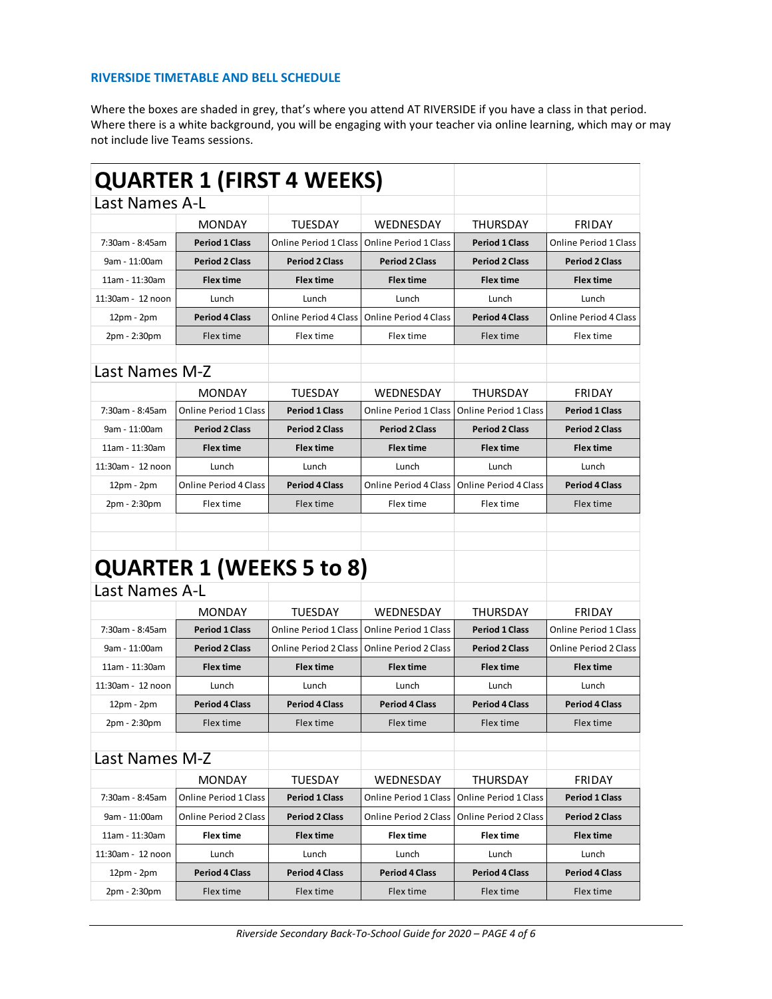# **RIVERSIDE TIMETABLE AND BELL SCHEDULE**

Where the boxes are shaded in grey, that's where you attend AT RIVERSIDE if you have a class in that period. Where there is a white background, you will be engaging with your teacher via online learning, which may or may not include live Teams sessions.

|                       | <b>QUARTER 1 (FIRST 4 WEEKS)</b> |                              |                              |                              |                              |
|-----------------------|----------------------------------|------------------------------|------------------------------|------------------------------|------------------------------|
| <b>Last Names A-L</b> |                                  |                              |                              |                              |                              |
|                       | <b>MONDAY</b>                    | <b>TUESDAY</b>               | WEDNESDAY                    | THURSDAY                     | <b>FRIDAY</b>                |
| 7:30am - 8:45am       | <b>Period 1 Class</b>            | <b>Online Period 1 Class</b> | <b>Online Period 1 Class</b> | <b>Period 1 Class</b>        | <b>Online Period 1 Class</b> |
| 9am - 11:00am         | <b>Period 2 Class</b>            | <b>Period 2 Class</b>        | <b>Period 2 Class</b>        | <b>Period 2 Class</b>        | <b>Period 2 Class</b>        |
| 11am - 11:30am        | <b>Flex time</b>                 | <b>Flex time</b>             | <b>Flex time</b>             | <b>Flex time</b>             | <b>Flex time</b>             |
| 11:30am - 12 noon     | Lunch                            | Lunch                        | Lunch                        | Lunch                        | Lunch                        |
| 12pm - 2pm            | <b>Period 4 Class</b>            | <b>Online Period 4 Class</b> | Online Period 4 Class        | <b>Period 4 Class</b>        | Online Period 4 Class        |
| 2pm - 2:30pm          | Flex time                        | Flex time                    | Flex time                    | Flex time                    | Flex time                    |
|                       |                                  |                              |                              |                              |                              |
| Last Names M-Z        |                                  |                              |                              |                              |                              |
|                       | <b>MONDAY</b>                    | <b>TUESDAY</b>               | WEDNESDAY                    | THURSDAY                     | <b>FRIDAY</b>                |
| 7:30am - 8:45am       | <b>Online Period 1 Class</b>     | <b>Period 1 Class</b>        | <b>Online Period 1 Class</b> | <b>Online Period 1 Class</b> | <b>Period 1 Class</b>        |
| 9am - 11:00am         | <b>Period 2 Class</b>            | <b>Period 2 Class</b>        | <b>Period 2 Class</b>        | <b>Period 2 Class</b>        | <b>Period 2 Class</b>        |
| 11am - 11:30am        | <b>Flex time</b>                 | <b>Flex time</b>             | <b>Flex time</b>             | <b>Flex time</b>             | <b>Flex time</b>             |
| 11:30am - 12 noon     | Lunch                            | Lunch                        | Lunch                        | Lunch                        | Lunch                        |
| 12pm - 2pm            | Online Period 4 Class            | <b>Period 4 Class</b>        | <b>Online Period 4 Class</b> | <b>Online Period 4 Class</b> | <b>Period 4 Class</b>        |
| 2pm - 2:30pm          | Flex time                        | Flex time                    | Flex time                    | Flex time                    | Flex time                    |
|                       |                                  |                              |                              |                              |                              |
|                       |                                  |                              |                              |                              |                              |
|                       | <b>QUARTER 1 (WEEKS 5 to 8)</b>  |                              |                              |                              |                              |
| <b>Last Names A-L</b> |                                  |                              |                              |                              |                              |
|                       |                                  |                              |                              |                              |                              |
|                       | <b>MONDAY</b>                    | <b>TUESDAY</b>               | WEDNESDAY                    | THURSDAY                     | <b>FRIDAY</b>                |
| 7:30am - 8:45am       | <b>Period 1 Class</b>            | <b>Online Period 1 Class</b> | <b>Online Period 1 Class</b> | <b>Period 1 Class</b>        | Online Period 1 Class        |
| 9am - 11:00am         | <b>Period 2 Class</b>            | <b>Online Period 2 Class</b> | <b>Online Period 2 Class</b> | <b>Period 2 Class</b>        | <b>Online Period 2 Class</b> |
| 11am - 11:30am        | <b>Flex time</b>                 | <b>Flex time</b>             | <b>Flex time</b>             | <b>Flex time</b>             | <b>Flex time</b>             |
| 11:30am - 12 noon     | Lunch                            | Lunch                        | Lunch                        | Lunch                        | Lunch                        |
| 12pm - 2pm            | <b>Period 4 Class</b>            | <b>Period 4 Class</b>        | <b>Period 4 Class</b>        | <b>Period 4 Class</b>        | <b>Period 4 Class</b>        |
| 2pm - 2:30pm          | Flex time                        | Flex time                    | Flex time                    | Flex time                    | Flex time                    |
| Last Names M-Z        |                                  |                              |                              |                              |                              |
|                       |                                  |                              |                              |                              |                              |
|                       | <b>MONDAY</b>                    | <b>TUESDAY</b>               | WEDNESDAY                    | THURSDAY                     | <b>FRIDAY</b>                |
| 7:30am - 8:45am       | <b>Online Period 1 Class</b>     | <b>Period 1 Class</b>        | <b>Online Period 1 Class</b> | <b>Online Period 1 Class</b> | <b>Period 1 Class</b>        |
| 9am - 11:00am         | <b>Online Period 2 Class</b>     | <b>Period 2 Class</b>        | <b>Online Period 2 Class</b> | <b>Online Period 2 Class</b> | <b>Period 2 Class</b>        |
| 11am - 11:30am        | <b>Flex time</b>                 | <b>Flex time</b>             | <b>Flex time</b>             | <b>Flex time</b>             | <b>Flex time</b>             |
| 11:30am - 12 noon     | Lunch                            | Lunch                        | Lunch                        | Lunch                        | Lunch                        |
| 12pm - 2pm            | <b>Period 4 Class</b>            | <b>Period 4 Class</b>        | <b>Period 4 Class</b>        | <b>Period 4 Class</b>        | <b>Period 4 Class</b>        |
| 2pm - 2:30pm          | Flex time                        | Flex time                    | Flex time                    | Flex time                    | Flex time                    |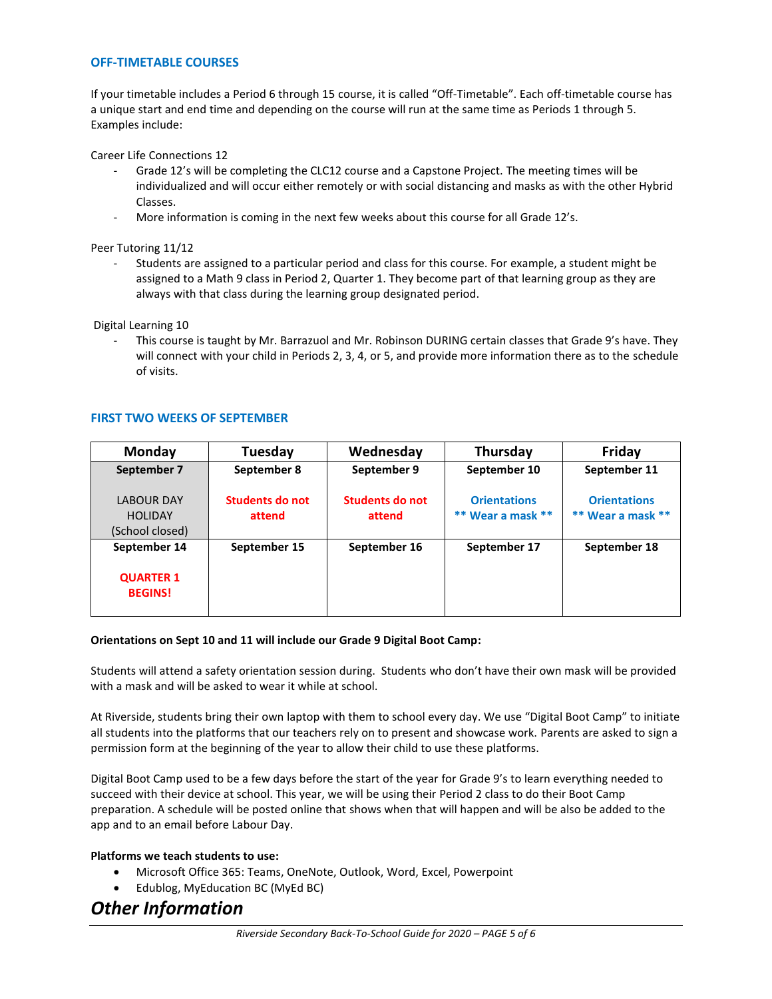#### **OFF-TIMETABLE COURSES**

If your timetable includes a Period 6 through 15 course, it is called "Off-Timetable". Each off-timetable course has a unique start and end time and depending on the course will run at the same time as Periods 1 through 5. Examples include:

Career Life Connections 12

- Grade 12's will be completing the CLC12 course and a Capstone Project. The meeting times will be individualized and will occur either remotely or with social distancing and masks as with the other Hybrid Classes.
- More information is coming in the next few weeks about this course for all Grade 12's.

Peer Tutoring 11/12

Students are assigned to a particular period and class for this course. For example, a student might be assigned to a Math 9 class in Period 2, Quarter 1. They become part of that learning group as they are always with that class during the learning group designated period.

Digital Learning 10

This course is taught by Mr. Barrazuol and Mr. Robinson DURING certain classes that Grade 9's have. They will connect with your child in Periods 2, 3, 4, or 5, and provide more information there as to the schedule of visits.

# **FIRST TWO WEEKS OF SEPTEMBER**

| <b>Monday</b>                                          | <b>Tuesday</b>            | Wednesday                 | Thursday                                 | Friday                                       |
|--------------------------------------------------------|---------------------------|---------------------------|------------------------------------------|----------------------------------------------|
| September 7                                            | September 8               | September 9               | September 10                             | September 11                                 |
| <b>LABOUR DAY</b><br><b>HOLIDAY</b><br>(School closed) | Students do not<br>attend | Students do not<br>attend | <b>Orientations</b><br>** Wear a mask ** | <b>Orientations</b><br>$**$ Wear a mask $**$ |
| September 14                                           | September 15              | September 16              | September 17                             | September 18                                 |
| <b>QUARTER 1</b><br><b>BEGINS!</b>                     |                           |                           |                                          |                                              |

#### **Orientations on Sept 10 and 11 will include our Grade 9 Digital Boot Camp:**

Students will attend a safety orientation session during. Students who don't have their own mask will be provided with a mask and will be asked to wear it while at school.

At Riverside, students bring their own laptop with them to school every day. We use "Digital Boot Camp" to initiate all students into the platforms that our teachers rely on to present and showcase work. Parents are asked to sign a permission form at the beginning of the year to allow their child to use these platforms.

Digital Boot Camp used to be a few days before the start of the year for Grade 9's to learn everything needed to succeed with their device at school. This year, we will be using their Period 2 class to do their Boot Camp preparation. A schedule will be posted online that shows when that will happen and will be also be added to the app and to an email before Labour Day.

#### **Platforms we teach students to use:**

- Microsoft Office 365: Teams, OneNote, Outlook, Word, Excel, Powerpoint
- Edublog, MyEducation BC (MyEd BC)

# *Other Information*